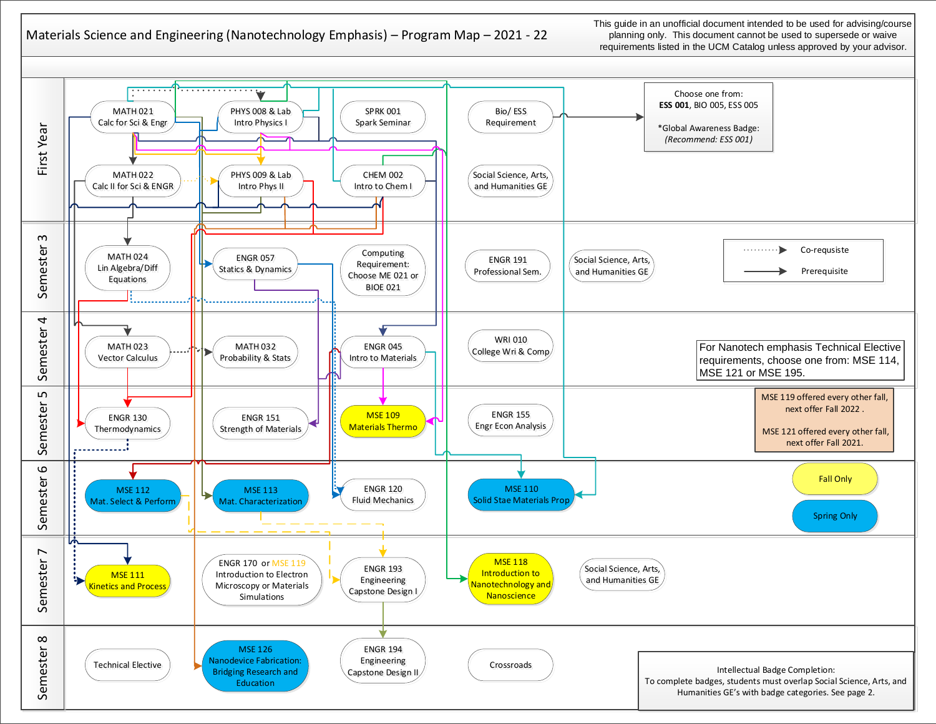## Materials Science and Engineering (Nanotechnology Emphasis) – Program Map – 2021 - 22

This guide in an unofficial document intended to be used for advising/course planning only. This document cannot be used to supersede or waive requirements listed in the UCM Catalog unless approved by your advisor.